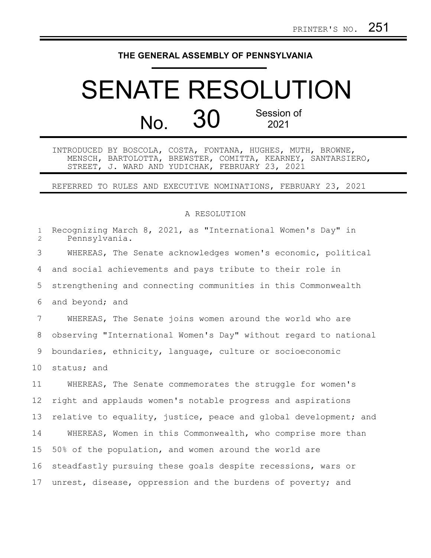## **THE GENERAL ASSEMBLY OF PENNSYLVANIA**

## SENATE RESOLUTION No. 30 Session of 2021

INTRODUCED BY BOSCOLA, COSTA, FONTANA, HUGHES, MUTH, BROWNE, MENSCH, BARTOLOTTA, BREWSTER, COMITTA, KEARNEY, SANTARSIERO, STREET, J. WARD AND YUDICHAK, FEBRUARY 23, 2021

REFERRED TO RULES AND EXECUTIVE NOMINATIONS, FEBRUARY 23, 2021

## A RESOLUTION

| $\mathbf{1}$<br>$\overline{2}$ | Recognizing March 8, 2021, as "International Women's Day" in<br>Pennsylvania. |
|--------------------------------|-------------------------------------------------------------------------------|
| 3                              | WHEREAS, The Senate acknowledges women's economic, political                  |
| 4                              | and social achievements and pays tribute to their role in                     |
| 5                              | strengthening and connecting communities in this Commonwealth                 |
| 6                              | and beyond; and                                                               |
| 7                              | WHEREAS, The Senate joins women around the world who are                      |
| 8                              | observing "International Women's Day" without regard to national              |
| 9                              | boundaries, ethnicity, language, culture or socioeconomic                     |
| 10 <sub>o</sub>                | status; and                                                                   |
| 11                             | WHEREAS, The Senate commemorates the struggle for women's                     |
| 12                             | right and applauds women's notable progress and aspirations                   |
| 13                             | relative to equality, justice, peace and global development; and              |
| 14                             | WHEREAS, Women in this Commonwealth, who comprise more than                   |
| 15                             | 50% of the population, and women around the world are                         |
| 16                             | steadfastly pursuing these goals despite recessions, wars or                  |
| 17                             | unrest, disease, oppression and the burdens of poverty; and                   |